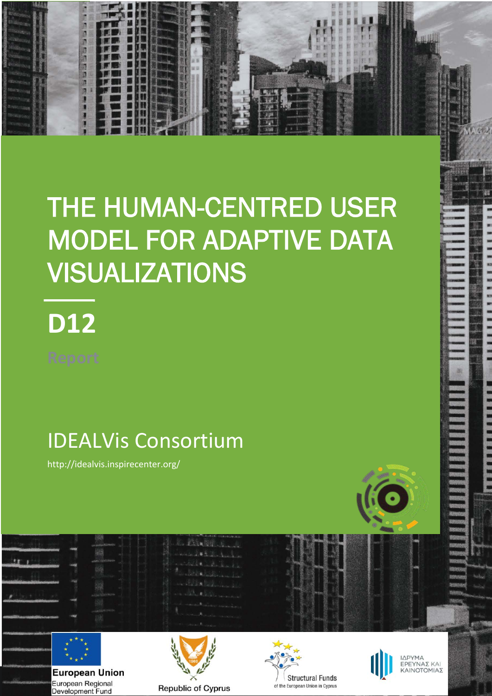# THE HUMAN-CENTRED USER MODEL FOR ADAPTIVE DATA VISUALIZATIONS

# **D12**

**1**

近期的现在分词

# IDEALVis Consortium

http://idealvis.inspirecenter.org/



 $22.1$ 

**European Union** European Regional Development Fund







ΙΔΡΥΜΑ<br>ΕΡΕΥΝΑΣ ΚΑΙ<br>ΚΑΙΝΟΤΟΜΙΑΣ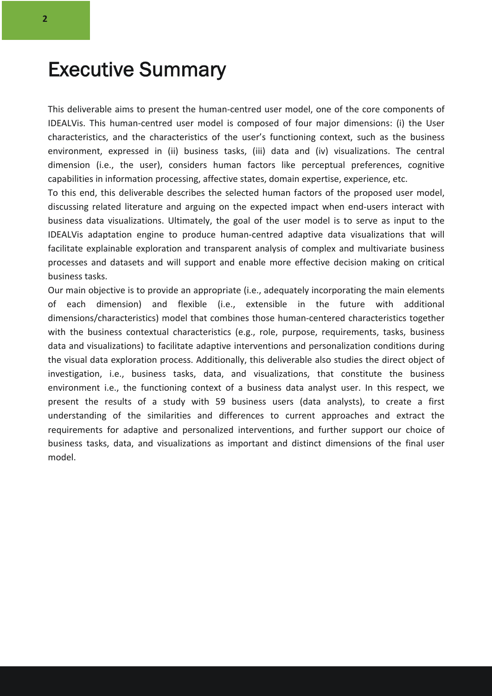### Executive Summary

This deliverable aims to present the human-centred user model, one of the core components of IDEALVis. This human-centred user model is composed of four major dimensions: (i) the User characteristics, and the characteristics of the user's functioning context, such as the business environment, expressed in (ii) business tasks, (iii) data and (iv) visualizations. The central dimension (i.e., the user), considers human factors like perceptual preferences, cognitive capabilities in information processing, affective states, domain expertise, experience, etc.

To this end, this deliverable describes the selected human factors of the proposed user model, discussing related literature and arguing on the expected impact when end-users interact with business data visualizations. Ultimately, the goal of the user model is to serve as input to the IDEALVis adaptation engine to produce human-centred adaptive data visualizations that will facilitate explainable exploration and transparent analysis of complex and multivariate business processes and datasets and will support and enable more effective decision making on critical business tasks.

Our main objective is to provide an appropriate (i.e., adequately incorporating the main elements of each dimension) and flexible (i.e., extensible in the future with additional dimensions/characteristics) model that combines those human-centered characteristics together with the business contextual characteristics (e.g., role, purpose, requirements, tasks, business data and visualizations) to facilitate adaptive interventions and personalization conditions during the visual data exploration process. Additionally, this deliverable also studies the direct object of investigation, i.e., business tasks, data, and visualizations, that constitute the business environment i.e., the functioning context of a business data analyst user. In this respect, we present the results of a study with 59 business users (data analysts), to create a first understanding of the similarities and differences to current approaches and extract the requirements for adaptive and personalized interventions, and further support our choice of business tasks, data, and visualizations as important and distinct dimensions of the final user model.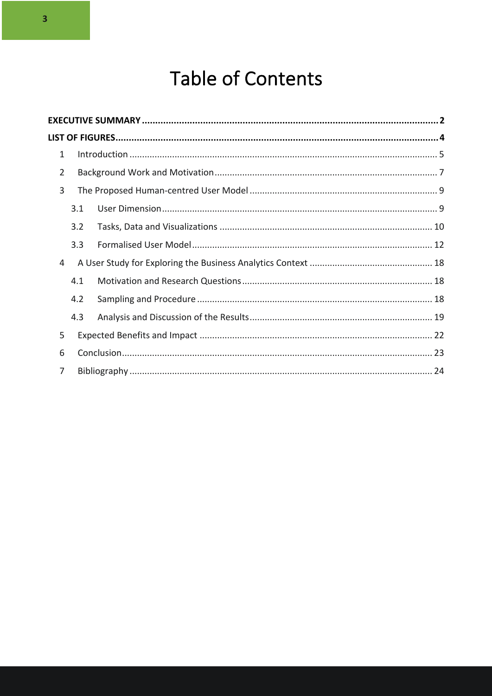# Table of Contents

| $\mathbf{1}$   |     |  |  |  |
|----------------|-----|--|--|--|
| $\overline{2}$ |     |  |  |  |
| 3              |     |  |  |  |
|                | 3.1 |  |  |  |
|                | 3.2 |  |  |  |
|                | 3.3 |  |  |  |
| 4              |     |  |  |  |
|                | 4.1 |  |  |  |
|                | 4.2 |  |  |  |
|                | 4.3 |  |  |  |
| 5              |     |  |  |  |
| 6              |     |  |  |  |
|                |     |  |  |  |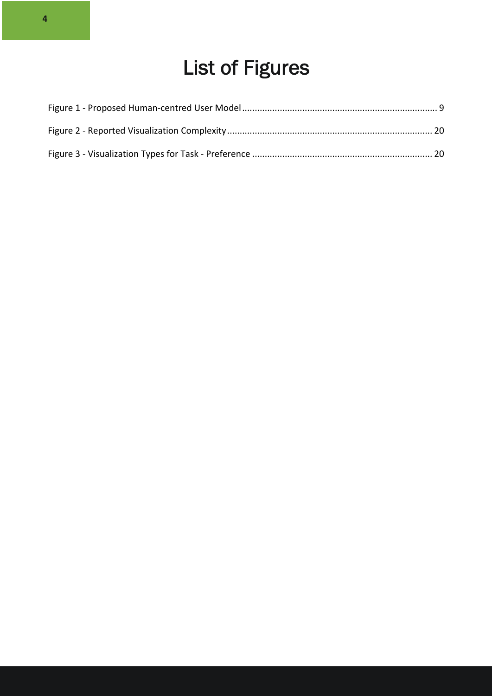# List of Figures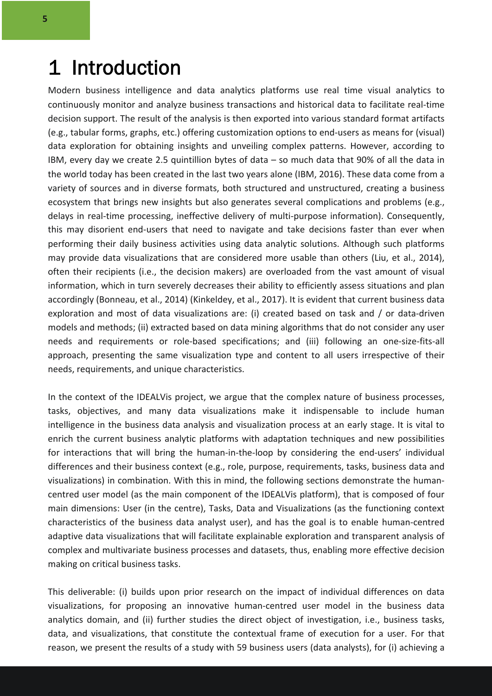### 1 Introduction

Modern business intelligence and data analytics platforms use real time visual analytics to continuously monitor and analyze business transactions and historical data to facilitate real-time decision support. The result of the analysis is then exported into various standard format artifacts (e.g., tabular forms, graphs, etc.) offering customization options to end-users as means for (visual) data exploration for obtaining insights and unveiling complex patterns. However, according to IBM, every day we create 2.5 quintillion bytes of data – so much data that 90% of all the data in the world today has been created in the last two years alone (IBM, 2016). These data come from a variety of sources and in diverse formats, both structured and unstructured, creating a business ecosystem that brings new insights but also generates several complications and problems (e.g., delays in real-time processing, ineffective delivery of multi-purpose information). Consequently, this may disorient end-users that need to navigate and take decisions faster than ever when performing their daily business activities using data analytic solutions. Although such platforms may provide data visualizations that are considered more usable than others (Liu, et al., 2014), often their recipients (i.e., the decision makers) are overloaded from the vast amount of visual information, which in turn severely decreases their ability to efficiently assess situations and plan accordingly (Bonneau, et al., 2014) (Kinkeldey, et al., 2017). It is evident that current business data exploration and most of data visualizations are: (i) created based on task and / or data-driven models and methods; (ii) extracted based on data mining algorithms that do not consider any user needs and requirements or role-based specifications; and (iii) following an one-size-fits-all approach, presenting the same visualization type and content to all users irrespective of their needs, requirements, and unique characteristics.

In the context of the IDEALVis project, we argue that the complex nature of business processes, tasks, objectives, and many data visualizations make it indispensable to include human intelligence in the business data analysis and visualization process at an early stage. It is vital to enrich the current business analytic platforms with adaptation techniques and new possibilities for interactions that will bring the human-in-the-loop by considering the end-users' individual differences and their business context (e.g., role, purpose, requirements, tasks, business data and visualizations) in combination. With this in mind, the following sections demonstrate the humancentred user model (as the main component of the IDEALVis platform), that is composed of four main dimensions: User (in the centre), Tasks, Data and Visualizations (as the functioning context characteristics of the business data analyst user), and has the goal is to enable human-centred adaptive data visualizations that will facilitate explainable exploration and transparent analysis of complex and multivariate business processes and datasets, thus, enabling more effective decision making on critical business tasks.

This deliverable: (i) builds upon prior research on the impact of individual differences on data visualizations, for proposing an innovative human-centred user model in the business data analytics domain, and (ii) further studies the direct object of investigation, i.e., business tasks, data, and visualizations, that constitute the contextual frame of execution for a user. For that reason, we present the results of a study with 59 business users (data analysts), for (i) achieving a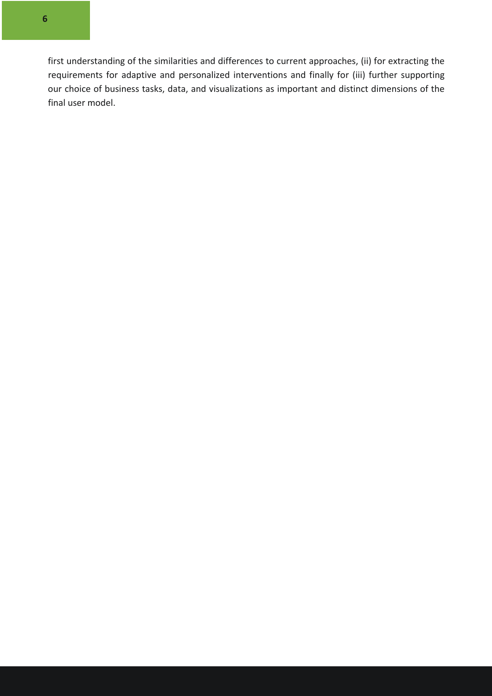first understanding of the similarities and differences to current approaches, (ii) for extracting the requirements for adaptive and personalized interventions and finally for (iii) further supporting our choice of business tasks, data, and visualizations as important and distinct dimensions of the final user model.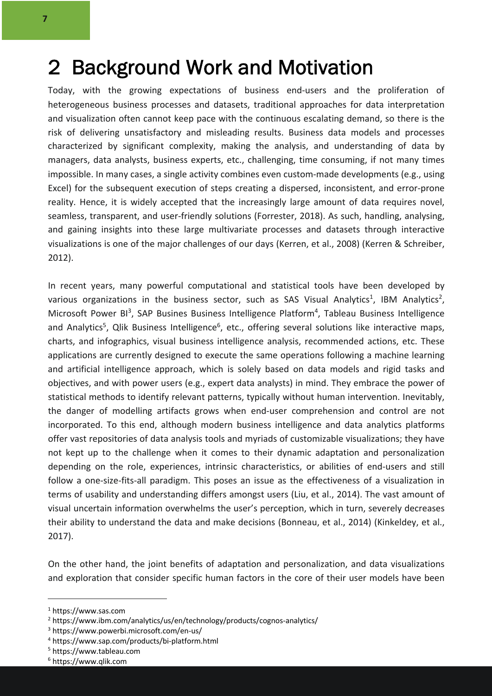### 2 Background Work and Motivation

Today, with the growing expectations of business end-users and the proliferation of heterogeneous business processes and datasets, traditional approaches for data interpretation and visualization often cannot keep pace with the continuous escalating demand, so there is the risk of delivering unsatisfactory and misleading results. Business data models and processes characterized by significant complexity, making the analysis, and understanding of data by managers, data analysts, business experts, etc., challenging, time consuming, if not many times impossible. In many cases, a single activity combines even custom-made developments (e.g., using Excel) for the subsequent execution of steps creating a dispersed, inconsistent, and error-prone reality. Hence, it is widely accepted that the increasingly large amount of data requires novel, seamless, transparent, and user-friendly solutions (Forrester, 2018). As such, handling, analysing, and gaining insights into these large multivariate processes and datasets through interactive visualizations is one of the major challenges of our days (Kerren, et al., 2008) (Kerren & Schreiber, 2012).

In recent years, many powerful computational and statistical tools have been developed by various organizations in the business sector, such as SAS Visual Analytics<sup>1</sup>, IBM Analytics<sup>2</sup>, Microsoft Power BI<sup>3</sup>, SAP Busines Business Intelligence Platform<sup>4</sup>, Tableau Business Intelligence and Analytics<sup>5</sup>, Qlik Business Intelligence<sup>6</sup>, etc., offering several solutions like interactive maps, charts, and infographics, visual business intelligence analysis, recommended actions, etc. These applications are currently designed to execute the same operations following a machine learning and artificial intelligence approach, which is solely based on data models and rigid tasks and objectives, and with power users (e.g., expert data analysts) in mind. They embrace the power of statistical methods to identify relevant patterns, typically without human intervention. Inevitably, the danger of modelling artifacts grows when end-user comprehension and control are not incorporated. To this end, although modern business intelligence and data analytics platforms offer vast repositories of data analysis tools and myriads of customizable visualizations; they have not kept up to the challenge when it comes to their dynamic adaptation and personalization depending on the role, experiences, intrinsic characteristics, or abilities of end-users and still follow a one-size-fits-all paradigm. This poses an issue as the effectiveness of a visualization in terms of usability and understanding differs amongst users (Liu, et al., 2014). The vast amount of visual uncertain information overwhelms the user's perception, which in turn, severely decreases their ability to understand the data and make decisions (Bonneau, et al., 2014) (Kinkeldey, et al., 2017).

On the other hand, the joint benefits of adaptation and personalization, and data visualizations and exploration that consider specific human factors in the core of their user models have been

<sup>1</sup> https://www.sas.com

<sup>2</sup> https://www.ibm.com/analytics/us/en/technology/products/cognos-analytics/

<sup>3</sup> https://www.powerbi.microsoft.com/en-us/

<sup>4</sup> https://www.sap.com/products/bi-platform.html

<sup>5</sup> https://www.tableau.com

<sup>6</sup> https://www.qlik.com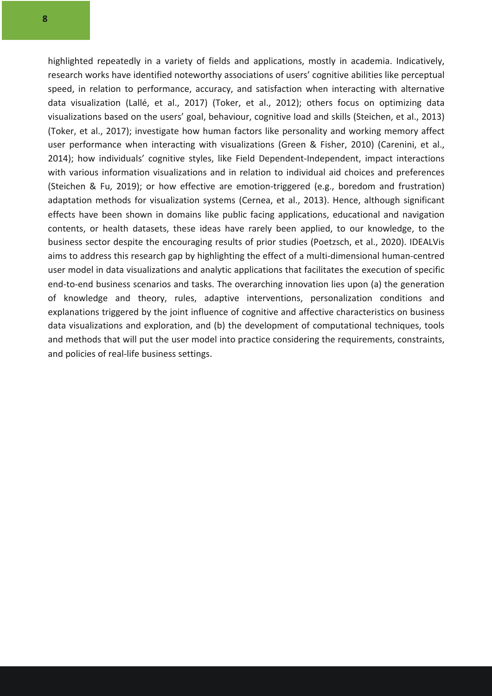highlighted repeatedly in a variety of fields and applications, mostly in academia. Indicatively, research works have identified noteworthy associations of users' cognitive abilities like perceptual speed, in relation to performance, accuracy, and satisfaction when interacting with alternative data visualization (Lallé, et al., 2017) (Toker, et al., 2012); others focus on optimizing data visualizations based on the users' goal, behaviour, cognitive load and skills (Steichen, et al., 2013) (Toker, et al., 2017); investigate how human factors like personality and working memory affect user performance when interacting with visualizations (Green & Fisher, 2010) (Carenini, et al., 2014); how individuals' cognitive styles, like Field Dependent-Independent, impact interactions with various information visualizations and in relation to individual aid choices and preferences (Steichen & Fu, 2019); or how effective are emotion-triggered (e.g., boredom and frustration) adaptation methods for visualization systems (Cernea, et al., 2013). Hence, although significant effects have been shown in domains like public facing applications, educational and navigation contents, or health datasets, these ideas have rarely been applied, to our knowledge, to the business sector despite the encouraging results of prior studies (Poetzsch, et al., 2020). IDEALVis aims to address this research gap by highlighting the effect of a multi-dimensional human-centred user model in data visualizations and analytic applications that facilitates the execution of specific end-to-end business scenarios and tasks. The overarching innovation lies upon (a) the generation of knowledge and theory, rules, adaptive interventions, personalization conditions and explanations triggered by the joint influence of cognitive and affective characteristics on business data visualizations and exploration, and (b) the development of computational techniques, tools and methods that will put the user model into practice considering the requirements, constraints, and policies of real-life business settings.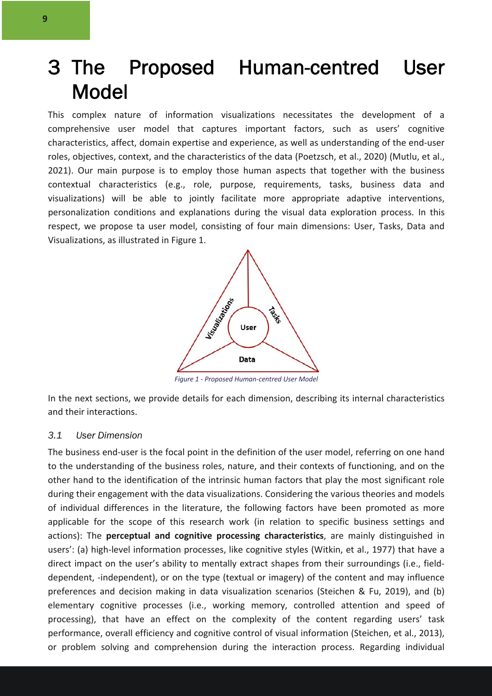# 3 The Proposed Human-centred User Model

This complex nature of information visualizations necessitates the development of a comprehensive user model that captures important factors, such as users' cognitive characteristics, affect, domain expertise and experience, as well as understanding of the end-user roles, objectives, context, and the characteristics of the data (Poetzsch, et al., 2020) (Mutlu, et al., 2021). Our main purpose is to employ those human aspects that together with the business contextual characteristics (e.g., role, purpose, requirements, tasks, business data and visualizations) will be able to jointly facilitate more appropriate adaptive interventions, personalization conditions and explanations during the visual data exploration process. In this respect, we propose ta user model, consisting of four main dimensions: User, Tasks, Data and Visualizations, as illustrated in Figure 1.



*Figure 1 - Proposed Human-centred User Model*

In the next sections, we provide details for each dimension, describing its internal characteristics and their interactions.

#### *3.1 User Dimension*

The business end-user is the focal point in the definition of the user model, referring on one hand to the understanding of the business roles, nature, and their contexts of functioning, and on the other hand to the identification of the intrinsic human factors that play the most significant role during their engagement with the data visualizations. Considering the various theories and models of individual differences in the literature, the following factors have been promoted as more applicable for the scope of this research work (in relation to specific business settings and actions): The **perceptual and cognitive processing characteristics**, are mainly distinguished in users': (a) high-level information processes, like cognitive styles (Witkin, et al., 1977) that have a direct impact on the user's ability to mentally extract shapes from their surroundings (i.e., fielddependent, -independent), or on the type (textual or imagery) of the content and may influence preferences and decision making in data visualization scenarios (Steichen & Fu, 2019), and (b) elementary cognitive processes (i.e., working memory, controlled attention and speed of processing), that have an effect on the complexity of the content regarding users' task performance, overall efficiency and cognitive control of visual information (Steichen, et al., 2013), or problem solving and comprehension during the interaction process. Regarding individual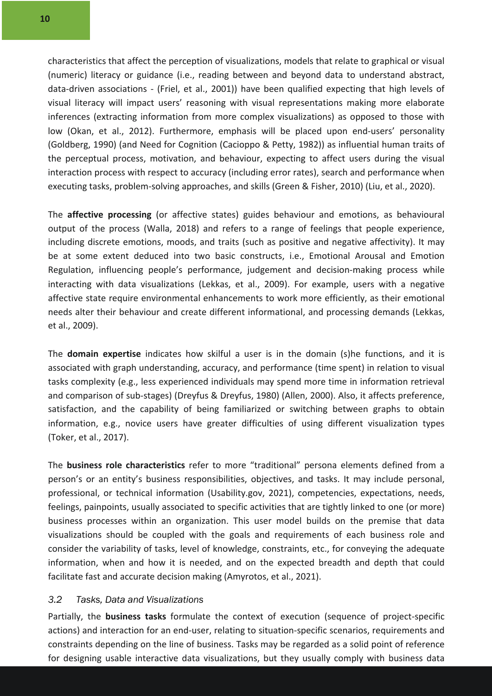characteristics that affect the perception of visualizations, models that relate to graphical or visual (numeric) literacy or guidance (i.e., reading between and beyond data to understand abstract, data-driven associations - (Friel, et al., 2001)) have been qualified expecting that high levels of visual literacy will impact users' reasoning with visual representations making more elaborate inferences (extracting information from more complex visualizations) as opposed to those with low (Okan, et al., 2012). Furthermore, emphasis will be placed upon end-users' personality (Goldberg, 1990) (and Need for Cognition (Cacioppo & Petty, 1982)) as influential human traits of the perceptual process, motivation, and behaviour, expecting to affect users during the visual interaction process with respect to accuracy (including error rates), search and performance when executing tasks, problem-solving approaches, and skills (Green & Fisher, 2010) (Liu, et al., 2020).

The **affective processing** (or affective states) guides behaviour and emotions, as behavioural output of the process (Walla, 2018) and refers to a range of feelings that people experience, including discrete emotions, moods, and traits (such as positive and negative affectivity). It may be at some extent deduced into two basic constructs, i.e., Emotional Arousal and Emotion Regulation, influencing people's performance, judgement and decision-making process while interacting with data visualizations (Lekkas, et al., 2009). For example, users with a negative affective state require environmental enhancements to work more efficiently, as their emotional needs alter their behaviour and create different informational, and processing demands (Lekkas, et al., 2009).

The **domain expertise** indicates how skilful a user is in the domain (s)he functions, and it is associated with graph understanding, accuracy, and performance (time spent) in relation to visual tasks complexity (e.g., less experienced individuals may spend more time in information retrieval and comparison of sub-stages) (Dreyfus & Dreyfus, 1980) (Allen, 2000). Also, it affects preference, satisfaction, and the capability of being familiarized or switching between graphs to obtain information, e.g., novice users have greater difficulties of using different visualization types (Toker, et al., 2017).

The **business role characteristics** refer to more "traditional" persona elements defined from a person's or an entity's business responsibilities, objectives, and tasks. It may include personal, professional, or technical information (Usability.gov, 2021), competencies, expectations, needs, feelings, painpoints, usually associated to specific activities that are tightly linked to one (or more) business processes within an organization. This user model builds on the premise that data visualizations should be coupled with the goals and requirements of each business role and consider the variability of tasks, level of knowledge, constraints, etc., for conveying the adequate information, when and how it is needed, and on the expected breadth and depth that could facilitate fast and accurate decision making (Amyrotos, et al., 2021).

#### *3.2 Tasks, Data and Visualizations*

Partially, the **business tasks** formulate the context of execution (sequence of project-specific actions) and interaction for an end-user, relating to situation-specific scenarios, requirements and constraints depending on the line of business. Tasks may be regarded as a solid point of reference for designing usable interactive data visualizations, but they usually comply with business data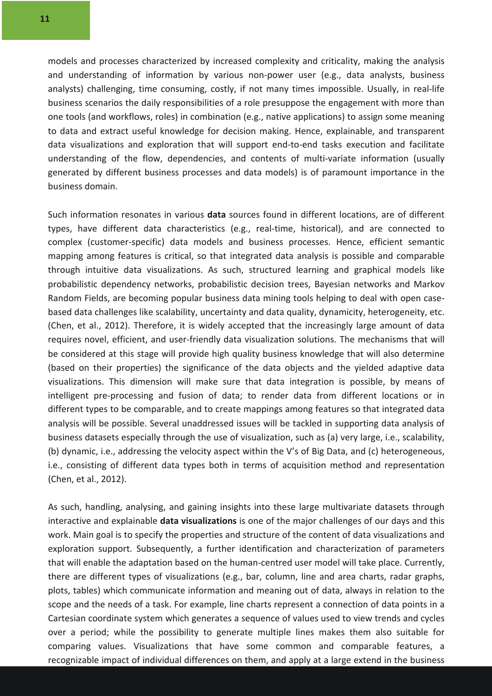models and processes characterized by increased complexity and criticality, making the analysis and understanding of information by various non-power user (e.g., data analysts, business analysts) challenging, time consuming, costly, if not many times impossible. Usually, in real-life business scenarios the daily responsibilities of a role presuppose the engagement with more than one tools (and workflows, roles) in combination (e.g., native applications) to assign some meaning to data and extract useful knowledge for decision making. Hence, explainable, and transparent data visualizations and exploration that will support end-to-end tasks execution and facilitate understanding of the flow, dependencies, and contents of multi-variate information (usually generated by different business processes and data models) is of paramount importance in the business domain.

Such information resonates in various **data** sources found in different locations, are of different types, have different data characteristics (e.g., real-time, historical), and are connected to complex (customer-specific) data models and business processes. Hence, efficient semantic mapping among features is critical, so that integrated data analysis is possible and comparable through intuitive data visualizations. As such, structured learning and graphical models like probabilistic dependency networks, probabilistic decision trees, Bayesian networks and Markov Random Fields, are becoming popular business data mining tools helping to deal with open casebased data challenges like scalability, uncertainty and data quality, dynamicity, heterogeneity, etc. (Chen, et al., 2012). Therefore, it is widely accepted that the increasingly large amount of data requires novel, efficient, and user-friendly data visualization solutions. The mechanisms that will be considered at this stage will provide high quality business knowledge that will also determine (based on their properties) the significance of the data objects and the yielded adaptive data visualizations. This dimension will make sure that data integration is possible, by means of intelligent pre-processing and fusion of data; to render data from different locations or in different types to be comparable, and to create mappings among features so that integrated data analysis will be possible. Several unaddressed issues will be tackled in supporting data analysis of business datasets especially through the use of visualization, such as (a) very large, i.e., scalability, (b) dynamic, i.e., addressing the velocity aspect within the V's of Big Data, and (c) heterogeneous, i.e., consisting of different data types both in terms of acquisition method and representation (Chen, et al., 2012).

As such, handling, analysing, and gaining insights into these large multivariate datasets through interactive and explainable **data visualizations** is one of the major challenges of our days and this work. Main goal is to specify the properties and structure of the content of data visualizations and exploration support. Subsequently, a further identification and characterization of parameters that will enable the adaptation based on the human-centred user model will take place. Currently, there are different types of visualizations (e.g., bar, column, line and area charts, radar graphs, plots, tables) which communicate information and meaning out of data, always in relation to the scope and the needs of a task. For example, line charts represent a connection of data points in a Cartesian coordinate system which generates a sequence of values used to view trends and cycles over a period; while the possibility to generate multiple lines makes them also suitable for comparing values. Visualizations that have some common and comparable features, a recognizable impact of individual differences on them, and apply at a large extend in the business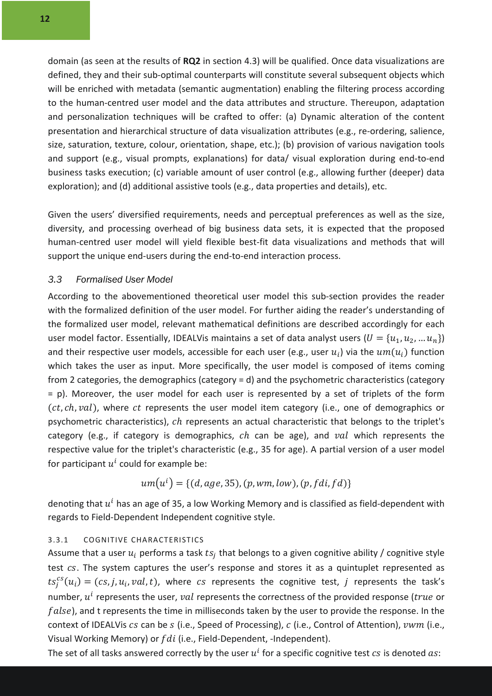domain (as seen at the results of **RQ2** in section 4.3) will be qualified. Once data visualizations are defined, they and their sub-optimal counterparts will constitute several subsequent objects which will be enriched with metadata (semantic augmentation) enabling the filtering process according to the human-centred user model and the data attributes and structure. Thereupon, adaptation and personalization techniques will be crafted to offer: (a) Dynamic alteration of the content presentation and hierarchical structure of data visualization attributes (e.g., re-ordering, salience, size, saturation, texture, colour, orientation, shape, etc.); (b) provision of various navigation tools and support (e.g., visual prompts, explanations) for data/ visual exploration during end-to-end business tasks execution; (c) variable amount of user control (e.g., allowing further (deeper) data exploration); and (d) additional assistive tools (e.g., data properties and details), etc.

Given the users' diversified requirements, needs and perceptual preferences as well as the size, diversity, and processing overhead of big business data sets, it is expected that the proposed human-centred user model will yield flexible best-fit data visualizations and methods that will support the unique end-users during the end-to-end interaction process.

#### *3.3 Formalised User Model*

According to the abovementioned theoretical user model this sub-section provides the reader with the formalized definition of the user model. For further aiding the reader's understanding of the formalized user model, relevant mathematical definitions are described accordingly for each user model factor. Essentially, IDEALVis maintains a set of data analyst users  $(U = {u_1, u_2, ... u_n})$ and their respective user models, accessible for each user (e.g., user  $u_i$ ) via the  $um(u_i)$  function which takes the user as input. More specifically, the user model is composed of items coming from 2 categories, the demographics (category = d) and the psychometric characteristics (category = p). Moreover, the user model for each user is represented by a set of triplets of the form  $(ct, ch, val)$ , where ct represents the user model item category (i.e., one of demographics or psychometric characteristics),  $ch$  represents an actual characteristic that belongs to the triplet's category (e.g., if category is demographics,  $ch$  can be age), and  $val$  which represents the respective value for the triplet's characteristic (e.g., 35 for age). A partial version of a user model for participant  $u^i$  could for example be:

$$
um(u^i) = \{(d, age, 35), (p, wm, low), (p, fdi, fd)\}\
$$

denoting that  $u^i$  has an age of 35, a low Working Memory and is classified as field-dependent with regards to Field-Dependent Independent cognitive style.

#### 3.3.1 COGNITIVE CHARACTERISTICS

Assume that a user  $u_i$  performs a task  $ts_i$  that belongs to a given cognitive ability / cognitive style test  $cs$ . The system captures the user's response and stores it as a quintuplet represented as  $ts_j^{cs}(u_i) = (cs, j, u_i, val, t)$ , where  $cs$  represents the cognitive test, j represents the task's number,  $u^i$  represents the user, val represents the correctness of the provided response (*true* or  $false$ ), and t represents the time in milliseconds taken by the user to provide the response. In the context of IDEALVis  $cs$  can be  $s$  (i.e., Speed of Processing),  $c$  (i.e., Control of Attention),  $vwm$  (i.e., Visual Working Memory) or  $fdi$  (i.e., Field-Dependent, -Independent).

The set of all tasks answered correctly by the user  $u^i$  for a specific cognitive test  $cs$  is denoted  $as$ :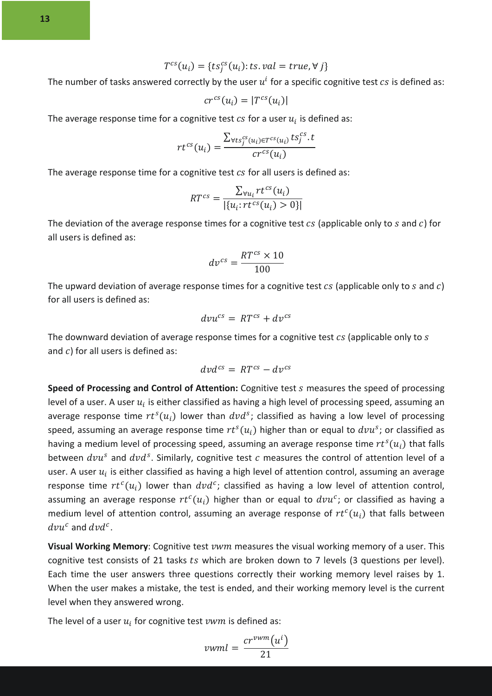The number of tasks answered correctly by the user  $u^i$  for a specific cognitive test  $cs$  is defined as:

$$
cr^{cs}(u_i) = |T^{cs}(u_i)|
$$

The average response time for a cognitive test  $cs$  for a user  $u_i$  is defined as:

$$
rt^{cs}(u_i) = \frac{\sum_{\forall ts_j^{cs}(u_i) \in T^{cs}(u_i)} ts_j^{cs} \cdot t}{cr^{cs}(u_i)}
$$

The average response time for a cognitive test  $cs$  for all users is defined as:

$$
RT^{cs} = \frac{\sum_{\forall u_i} rt^{cs}(u_i)}{|\{u_i: rt^{cs}(u_i) > 0\}|}
$$

The deviation of the average response times for a cognitive test  $cs$  (applicable only to  $s$  and  $c$ ) for all users is defined as:

$$
dv^{cs} = \frac{RT^{cs} \times 10}{100}
$$

The upward deviation of average response times for a cognitive test  $cs$  (applicable only to  $s$  and  $c$ ) for all users is defined as:

$$
dv u^{cs} = RT^{cs} + dv^{cs}
$$

The downward deviation of average response times for a cognitive test  $cs$  (applicable only to  $s$ and  $c$ ) for all users is defined as:

$$
d\nu d^{cs} = RT^{cs} - dv^{cs}
$$

**Speed of Processing and Control of Attention:** Cognitive test *s* measures the speed of processing level of a user. A user  $u_i$  is either classified as having a high level of processing speed, assuming an average response time  $rt^s(u_i)$  lower than  $dvd^s$ ; classified as having a low level of processing speed, assuming an average response time  $rt<sup>s</sup>(u<sub>i</sub>)$  higher than or equal to  $dvu<sup>s</sup>$ ; or classified as having a medium level of processing speed, assuming an average response time  $rt<sup>s</sup>(u<sub>i</sub>)$  that falls between  $dvu^s$  and  $dvd^s$ . Similarly, cognitive test c measures the control of attention level of a user. A user  $u_i$  is either classified as having a high level of attention control, assuming an average response time  $rt^c(u_i)$  lower than  $dvd^c$ ; classified as having a low level of attention control, assuming an average response  $rt^c(u_i)$  higher than or equal to  $dvu^c$ ; or classified as having a medium level of attention control, assuming an average response of  $rt^c(u_i)$  that falls between  $dvu^c$  and  $dvd^c$ .

**Visual Working Memory**: Cognitive test *vwm* measures the visual working memory of a user. This cognitive test consists of 21 tasks ts which are broken down to 7 levels (3 questions per level). Each time the user answers three questions correctly their working memory level raises by 1. When the user makes a mistake, the test is ended, and their working memory level is the current level when they answered wrong.

The level of a user  $u_i$  for cognitive test  $vwm$  is defined as:

$$
vwml = \frac{cr^{vwm}(u^i)}{21}
$$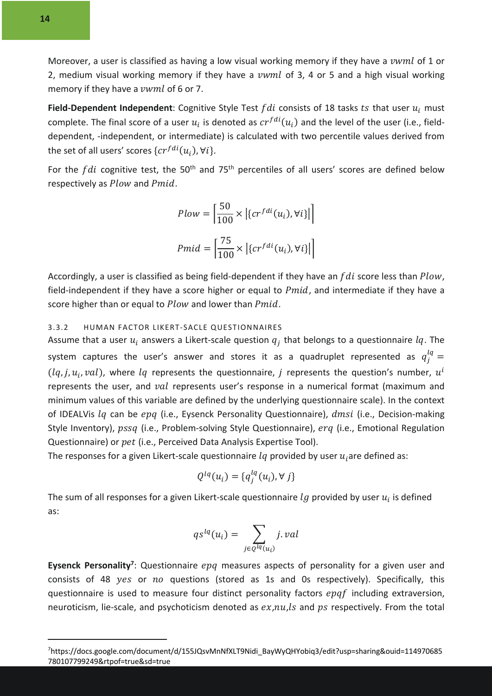Moreover, a user is classified as having a low visual working memory if they have a vwml of 1 or 2, medium visual working memory if they have a  $vwml$  of 3, 4 or 5 and a high visual working memory if they have a  $vwnd$  of 6 or 7.

**Field-Dependent Independent**: Cognitive Style Test  $fdi$  consists of 18 tasks  $ts$  that user  $u_i$  must complete. The final score of a user  $u_i$  is denoted as  $cr^{fdi}(u_i)$  and the level of the user (i.e., fielddependent, -independent, or intermediate) is calculated with two percentile values derived from the set of all users' scores  $\{cr^{fdi}(u_i), \forall i\}$ .

For the  $fdi$  cognitive test, the 50<sup>th</sup> and 75<sup>th</sup> percentiles of all users' scores are defined below respectively as  $Plow$  and  $Pmid.$ 

$$
Flow = \left| \frac{50}{100} \times \left| \{ cr^{fdi}(u_i), \forall i \} \right| \right|
$$
  

$$
Pmid = \left| \frac{75}{100} \times \left| \{ cr^{fdi}(u_i), \forall i \} \right| \right|
$$

Accordingly, a user is classified as being field-dependent if they have an  $fdi$  score less than  $Plow$ . field-independent if they have a score higher or equal to  $Pmid$ , and intermediate if they have a score higher than or equal to  $Plow$  and lower than  $Pmid$ .

#### 3.3.2 HUMAN FACTOR LIKERT-SACLE QUESTIONNAIRES

Assume that a user  $u_i$  answers a Likert-scale question  $q_i$  that belongs to a questionnaire  $lq$ . The system captures the user's answer and stores it as a quadruplet represented as  $q_j^{lq} =$  $(lq, j, u_i, val)$ , where  $lq$  represents the questionnaire, *i* represents the question's number,  $u^i$ represents the user, and *val* represents user's response in a numerical format (maximum and minimum values of this variable are defined by the underlying questionnaire scale). In the context of IDEALVis  $lq$  can be  $epq$  (i.e., Eysenck Personality Questionnaire),  $dmsi$  (i.e., Decision-making Style Inventory),  $pssq$  (i.e., Problem-solving Style Questionnaire),  $erg$  (i.e., Emotional Regulation Questionnaire) or pet (i.e., Perceived Data Analysis Expertise Tool).

The responses for a given Likert-scale questionnaire  $lq$  provided by user  $u_i$  are defined as:

$$
Q^{lq}(u_i) = \{q_j^{lq}(u_i), \forall j\}
$$

The sum of all responses for a given Likert-scale questionnaire  $lg$  provided by user  $u_i$  is defined as:

$$
qs^{lq}(u_i) = \sum_{j \in Q^{lq}(u_i)} j.val
$$

**Eysenck Personality**<sup>7</sup>: Questionnaire epg measures aspects of personality for a given user and consists of 48  $yes$  or  $no$  questions (stored as 1s and 0s respectively). Specifically, this questionnaire is used to measure four distinct personality factors  $epaf$  including extraversion, neuroticism, lie-scale, and psychoticism denoted as  $ex, nu, ls$  and  $ps$  respectively. From the total

<sup>7</sup> https://docs.google.com/document/d/155JQsvMnNfXLT9Nidi\_BayWyQHYobiq3/edit?usp=sharing&ouid=114970685 780107799249&rtpof=true&sd=true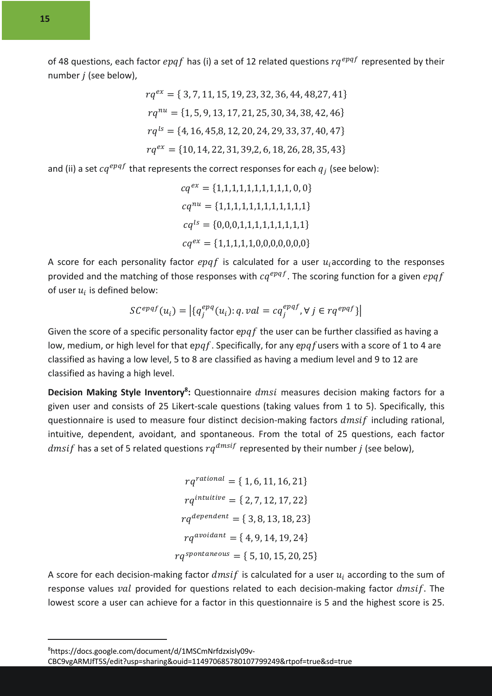of 48 questions, each factor  $epqf$  has (i) a set of 12 related questions  $rq^{epqf}$  represented by their number  $j$  (see below),

$$
rq^{ex} = \{ 3, 7, 11, 15, 19, 23, 32, 36, 44, 48, 27, 41 \}
$$
  

$$
rq^{nu} = \{ 1, 5, 9, 13, 17, 21, 25, 30, 34, 38, 42, 46 \}
$$
  

$$
rq^{ls} = \{ 4, 16, 45, 8, 12, 20, 24, 29, 33, 37, 40, 47 \}
$$
  

$$
rq^{ex} = \{ 10, 14, 22, 31, 39, 2, 6, 18, 26, 28, 35, 43 \}
$$

and (ii) a set  $cq^{epqf}$  that represents the correct responses for each  $q_i$  (see below):

$$
cq^{ex} = \{1,1,1,1,1,1,1,1,1,1,0,0\}
$$

$$
cq^{nu} = \{1,1,1,1,1,1,1,1,1,1,1\}
$$

$$
cq^{ls} = \{0,0,0,1,1,1,1,1,1,1,1,1\}
$$

$$
cq^{ex} = \{1,1,1,1,1,0,0,0,0,0,0,0\}
$$

A score for each personality factor  $epqf$  is calculated for a user  $u_i$  according to the responses provided and the matching of those responses with  $cq^{epqf}$ . The scoring function for a given  $epqf$ of user  $u_i$  is defined below:

$$
SC^{epqf}(u_i) = |\{q_j^{epq}(u_i): q.val = cq_j^{epqf}, \forall j \in rq^{epqf}\}|
$$

Given the score of a specific personality factor epaf the user can be further classified as having a low, medium, or high level for that epgf. Specifically, for any epgf users with a score of 1 to 4 are classified as having a low level, 5 to 8 are classified as having a medium level and 9 to 12 are classified as having a high level.

Decision Making Style Inventory<sup>8</sup>: Questionnaire *dmsi* measures decision making factors for a given user and consists of 25 Likert-scale questions (taking values from 1 to 5). Specifically, this questionnaire is used to measure four distinct decision-making factors  $dmsif$  including rational, intuitive, dependent, avoidant, and spontaneous. From the total of 25 questions, each factor *dmsif* has a set of 5 related questions  $rq^{dmsif}$  represented by their number *j* (see below),

$$
rq^{rational} = \{ 1, 6, 11, 16, 21 \}
$$
\n
$$
rq^{intuitive} = \{ 2, 7, 12, 17, 22 \}
$$
\n
$$
rq^{dependent} = \{ 3, 8, 13, 18, 23 \}
$$
\n
$$
rq^{avoidant} = \{ 4, 9, 14, 19, 24 \}
$$
\n
$$
rq^{spontaneous} = \{ 5, 10, 15, 20, 25 \}
$$

A score for each decision-making factor  $dms$  is calculated for a user  $u_i$  according to the sum of response values  $val$  provided for questions related to each decision-making factor  $dmsif$ . The lowest score a user can achieve for a factor in this questionnaire is 5 and the highest score is 25.

8 https://docs.google.com/document/d/1MSCmNrfdzxisly09v-

CBC9vgARMJfT5S/edit?usp=sharing&ouid=114970685780107799249&rtpof=true&sd=true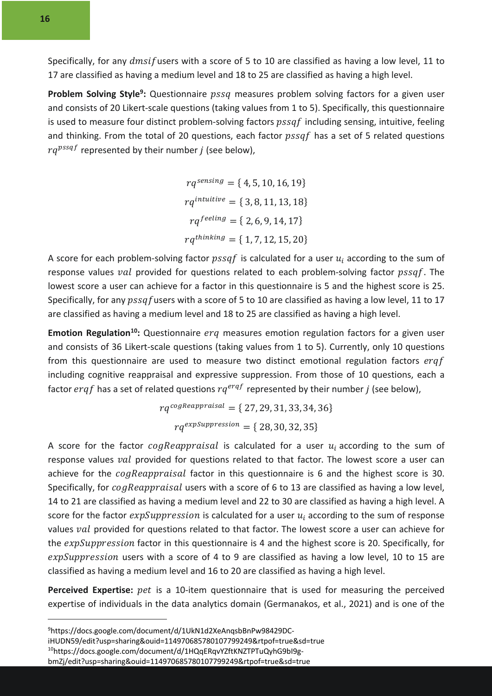Specifically, for any  $dms$  users with a score of 5 to 10 are classified as having a low level, 11 to 17 are classified as having a medium level and 18 to 25 are classified as having a high level.

**Problem Solving Style<sup>9</sup>:** Questionnaire *pssq* measures problem solving factors for a given user and consists of 20 Likert-scale questions (taking values from 1 to 5). Specifically, this questionnaire is used to measure four distinct problem-solving factors  $pssaf$  including sensing, intuitive, feeling and thinking. From the total of 20 questions, each factor  $pssaf$  has a set of 5 related questions  $ra^{pssqf}$  represented by their number *i* (see below).

> $rq^{sensing} = \{ 4, 5, 10, 16, 19 \}$  $ra<sup>intuitive</sup> = { 3, 8, 11, 13, 18 }$  $rq^{feeling} = \{ 2, 6, 9, 14, 17 \}$  $rq^{thinking} = \{ 1, 7, 12, 15, 20 \}$

A score for each problem-solving factor  $pssaf$  is calculated for a user  $u_i$  according to the sum of response values *val* provided for questions related to each problem-solving factor  $ps\sqrt{s}$ . The lowest score a user can achieve for a factor in this questionnaire is 5 and the highest score is 25. Specifically, for any  $pssaf$  users with a score of 5 to 10 are classified as having a low level, 11 to 17 are classified as having a medium level and 18 to 25 are classified as having a high level.

Emotion Regulation<sup>10</sup>: Questionnaire erg measures emotion regulation factors for a given user and consists of 36 Likert-scale questions (taking values from 1 to 5). Currently, only 10 questions from this questionnaire are used to measure two distinct emotional regulation factors  $ergf$ including cognitive reappraisal and expressive suppression. From those of 10 questions, each a factor ergf has a set of related questions  $rq^{erqf}$  represented by their number *j* (see below),

> $rq^{cogReappraisal} = \{ 27, 29, 31, 33, 34, 36 \}$  $rq^{expSuppression} = \{ 28, 30, 32, 35 \}$

A score for the factor  $cogReappraisal$  is calculated for a user  $u_i$  according to the sum of response values val provided for questions related to that factor. The lowest score a user can achieve for the *cogReappraisal* factor in this questionnaire is 6 and the highest score is 30. Specifically, for  $cogReappraisal$  users with a score of 6 to 13 are classified as having a low level, 14 to 21 are classified as having a medium level and 22 to 30 are classified as having a high level. A score for the factor  $expSuppression$  is calculated for a user  $u_i$  according to the sum of response values val provided for questions related to that factor. The lowest score a user can achieve for the  $expSuppression$  factor in this questionnaire is 4 and the highest score is 20. Specifically, for  $expSuppression$  users with a score of 4 to 9 are classified as having a low level, 10 to 15 are classified as having a medium level and 16 to 20 are classified as having a high level.

Perceived Expertise: pet is a 10-item questionnaire that is used for measuring the perceived expertise of individuals in the data analytics domain (Germanakos, et al., 2021) and is one of the

<sup>9</sup> https://docs.google.com/document/d/1UkN1d2XeAnqsbBnPw98429DC-

iHUDN59/edit?usp=sharing&ouid=114970685780107799249&rtpof=true&sd=true

<sup>10</sup>https://docs.google.com/document/d/1HQqERqvYZftKNZTPTuQyhG9bI9g-

bmZj/edit?usp=sharing&ouid=114970685780107799249&rtpof=true&sd=true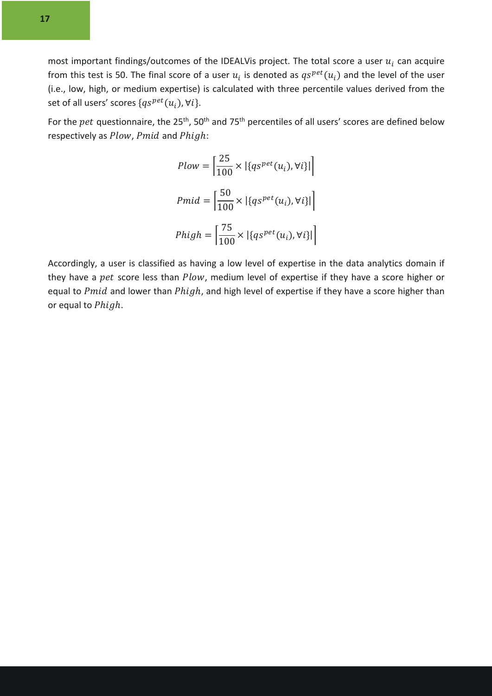most important findings/outcomes of the IDEALVis project. The total score a user  $u_i$  can acquire from this test is 50. The final score of a user  $u_i$  is denoted as  $qs^{pet}(u_i)$  and the level of the user (i.e., low, high, or medium expertise) is calculated with three percentile values derived from the set of all users' scores  $\{qs^{pet}(u_i), \forall i\}.$ 

For the  $pet$  questionnaire, the 25<sup>th</sup>, 50<sup>th</sup> and 75<sup>th</sup> percentiles of all users' scores are defined below respectively as  $Plow$ ,  $Pmid$  and  $Phigh$ :

$$
Flow = \left| \frac{25}{100} \times \left| \{ qs^{pet}(u_i), \forall i \} \right| \right|
$$
  

$$
Pmid = \left| \frac{50}{100} \times \left| \{ qs^{pet}(u_i), \forall i \} \right| \right|
$$
  

$$
Phigh = \left| \frac{75}{100} \times \left| \{ qs^{pet}(u_i), \forall i \} \right| \right|
$$

Accordingly, a user is classified as having a low level of expertise in the data analytics domain if they have a  $pet$  score less than  $Plow$ , medium level of expertise if they have a score higher or equal to  $Pmid$  and lower than  $Phigh$ , and high level of expertise if they have a score higher than or equal to Phigh.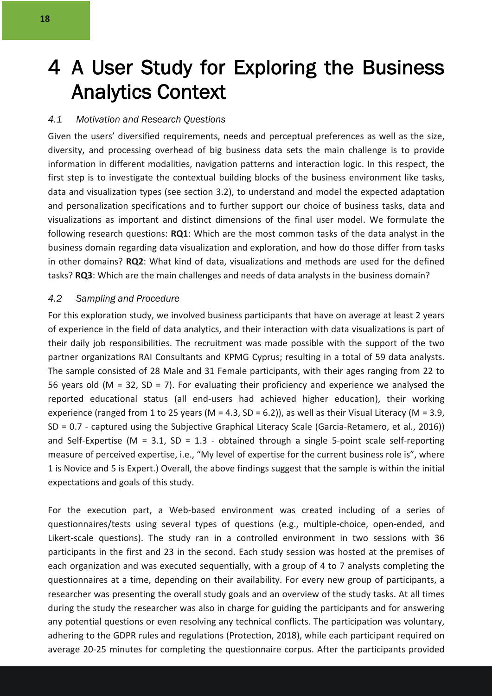## 4 A User Study for Exploring the Business Analytics Context

#### *4.1 Motivation and Research Questions*

Given the users' diversified requirements, needs and perceptual preferences as well as the size, diversity, and processing overhead of big business data sets the main challenge is to provide information in different modalities, navigation patterns and interaction logic. In this respect, the first step is to investigate the contextual building blocks of the business environment like tasks, data and visualization types (see section 3.2), to understand and model the expected adaptation and personalization specifications and to further support our choice of business tasks, data and visualizations as important and distinct dimensions of the final user model. We formulate the following research questions: **RQ1**: Which are the most common tasks of the data analyst in the business domain regarding data visualization and exploration, and how do those differ from tasks in other domains? **RQ2**: What kind of data, visualizations and methods are used for the defined tasks? **RQ3**: Which are the main challenges and needs of data analysts in the business domain?

#### *4.2 Sampling and Procedure*

For this exploration study, we involved business participants that have on average at least 2 years of experience in the field of data analytics, and their interaction with data visualizations is part of their daily job responsibilities. The recruitment was made possible with the support of the two partner organizations RAI Consultants and KPMG Cyprus; resulting in a total of 59 data analysts. The sample consisted of 28 Male and 31 Female participants, with their ages ranging from 22 to 56 years old ( $M = 32$ ,  $SD = 7$ ). For evaluating their proficiency and experience we analysed the reported educational status (all end-users had achieved higher education), their working experience (ranged from 1 to 25 years (M = 4.3, SD = 6.2)), as well as their Visual Literacy (M = 3.9, SD = 0.7 - captured using the Subjective Graphical Literacy Scale (Garcia-Retamero, et al., 2016)) and Self-Expertise (M = 3.1, SD = 1.3 - obtained through a single 5-point scale self-reporting measure of perceived expertise, i.e., "My level of expertise for the current business role is", where 1 is Novice and 5 is Expert.) Overall, the above findings suggest that the sample is within the initial expectations and goals of this study.

For the execution part, a Web-based environment was created including of a series of questionnaires/tests using several types of questions (e.g., multiple-choice, open-ended, and Likert-scale questions). The study ran in a controlled environment in two sessions with 36 participants in the first and 23 in the second. Each study session was hosted at the premises of each organization and was executed sequentially, with a group of 4 to 7 analysts completing the questionnaires at a time, depending on their availability. For every new group of participants, a researcher was presenting the overall study goals and an overview of the study tasks. At all times during the study the researcher was also in charge for guiding the participants and for answering any potential questions or even resolving any technical conflicts. The participation was voluntary, adhering to the GDPR rules and regulations (Protection, 2018), while each participant required on average 20-25 minutes for completing the questionnaire corpus. After the participants provided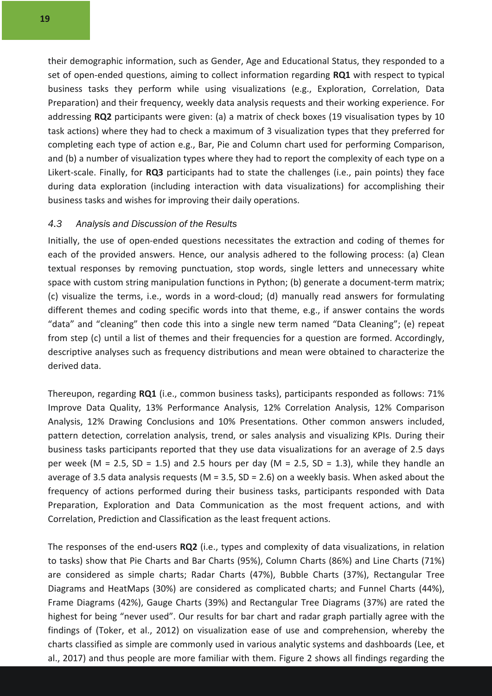their demographic information, such as Gender, Age and Educational Status, they responded to a set of open-ended questions, aiming to collect information regarding **RQ1** with respect to typical business tasks they perform while using visualizations (e.g., Exploration, Correlation, Data Preparation) and their frequency, weekly data analysis requests and their working experience. For addressing **RQ2** participants were given: (a) a matrix of check boxes (19 visualisation types by 10 task actions) where they had to check a maximum of 3 visualization types that they preferred for completing each type of action e.g., Bar, Pie and Column chart used for performing Comparison, and (b) a number of visualization types where they had to report the complexity of each type on a Likert-scale. Finally, for **RQ3** participants had to state the challenges (i.e., pain points) they face during data exploration (including interaction with data visualizations) for accomplishing their business tasks and wishes for improving their daily operations.

#### *4.3 Analysis and Discussion of the Results*

Initially, the use of open-ended questions necessitates the extraction and coding of themes for each of the provided answers. Hence, our analysis adhered to the following process: (a) Clean textual responses by removing punctuation, stop words, single letters and unnecessary white space with custom string manipulation functions in Python; (b) generate a document-term matrix; (c) visualize the terms, i.e., words in a word-cloud; (d) manually read answers for formulating different themes and coding specific words into that theme, e.g., if answer contains the words "data" and "cleaning" then code this into a single new term named "Data Cleaning"; (e) repeat from step (c) until a list of themes and their frequencies for a question are formed. Accordingly, descriptive analyses such as frequency distributions and mean were obtained to characterize the derived data.

Thereupon, regarding **RQ1** (i.e., common business tasks), participants responded as follows: 71% Improve Data Quality, 13% Performance Analysis, 12% Correlation Analysis, 12% Comparison Analysis, 12% Drawing Conclusions and 10% Presentations. Other common answers included, pattern detection, correlation analysis, trend, or sales analysis and visualizing KPIs. During their business tasks participants reported that they use data visualizations for an average of 2.5 days per week (M = 2.5, SD = 1.5) and 2.5 hours per day (M = 2.5, SD = 1.3), while they handle an average of 3.5 data analysis requests (M = 3.5, SD = 2.6) on a weekly basis. When asked about the frequency of actions performed during their business tasks, participants responded with Data Preparation, Exploration and Data Communication as the most frequent actions, and with Correlation, Prediction and Classification as the least frequent actions.

The responses of the end-users **RQ2** (i.e., types and complexity of data visualizations, in relation to tasks) show that Pie Charts and Bar Charts (95%), Column Charts (86%) and Line Charts (71%) are considered as simple charts; Radar Charts (47%), Bubble Charts (37%), Rectangular Tree Diagrams and HeatMaps (30%) are considered as complicated charts; and Funnel Charts (44%), Frame Diagrams (42%), Gauge Charts (39%) and Rectangular Tree Diagrams (37%) are rated the highest for being "never used". Our results for bar chart and radar graph partially agree with the findings of (Toker, et al., 2012) on visualization ease of use and comprehension, whereby the charts classified as simple are commonly used in various analytic systems and dashboards (Lee, et al., 2017) and thus people are more familiar with them. Figure 2 shows all findings regarding the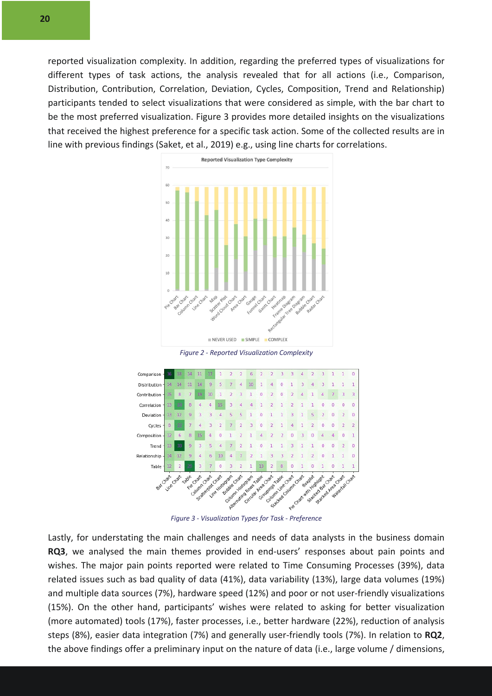reported visualization complexity. In addition, regarding the preferred types of visualizations for different types of task actions, the analysis revealed that for all actions (i.e., Comparison, Distribution, Contribution, Correlation, Deviation, Cycles, Composition, Trend and Relationship) participants tended to select visualizations that were considered as simple, with the bar chart to be the most preferred visualization. Figure 3 provides more detailed insights on the visualizations that received the highest preference for a specific task action. Some of the collected results are in line with previous findings (Saket, et al., 2019) e.g., using line charts for correlations.



*Figure 2 - Reported Visualization Complexity*



Lastly, for understating the main challenges and needs of data analysts in the business domain **RQ3**, we analysed the main themes provided in end-users' responses about pain points and wishes. The major pain points reported were related to Time Consuming Processes (39%), data related issues such as bad quality of data (41%), data variability (13%), large data volumes (19%) and multiple data sources (7%), hardware speed (12%) and poor or not user-friendly visualizations (15%). On the other hand, participants' wishes were related to asking for better visualization (more automated) tools (17%), faster processes, i.e., better hardware (22%), reduction of analysis steps (8%), easier data integration (7%) and generally user-friendly tools (7%). In relation to **RQ2**, the above findings offer a preliminary input on the nature of data (i.e., large volume / dimensions,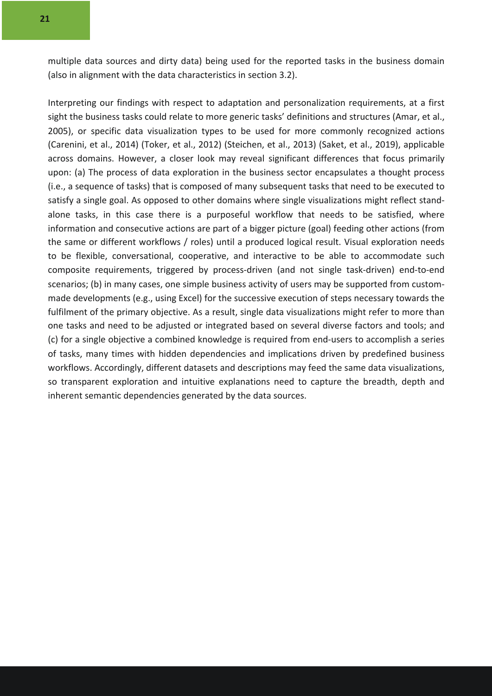multiple data sources and dirty data) being used for the reported tasks in the business domain (also in alignment with the data characteristics in section 3.2).

Interpreting our findings with respect to adaptation and personalization requirements, at a first sight the business tasks could relate to more generic tasks' definitions and structures (Amar, et al., 2005), or specific data visualization types to be used for more commonly recognized actions (Carenini, et al., 2014) (Toker, et al., 2012) (Steichen, et al., 2013) (Saket, et al., 2019), applicable across domains. However, a closer look may reveal significant differences that focus primarily upon: (a) The process of data exploration in the business sector encapsulates a thought process (i.e., a sequence of tasks) that is composed of many subsequent tasks that need to be executed to satisfy a single goal. As opposed to other domains where single visualizations might reflect standalone tasks, in this case there is a purposeful workflow that needs to be satisfied, where information and consecutive actions are part of a bigger picture (goal) feeding other actions (from the same or different workflows / roles) until a produced logical result. Visual exploration needs to be flexible, conversational, cooperative, and interactive to be able to accommodate such composite requirements, triggered by process-driven (and not single task-driven) end-to-end scenarios; (b) in many cases, one simple business activity of users may be supported from custommade developments (e.g., using Excel) for the successive execution of steps necessary towards the fulfilment of the primary objective. As a result, single data visualizations might refer to more than one tasks and need to be adjusted or integrated based on several diverse factors and tools; and (c) for a single objective a combined knowledge is required from end-users to accomplish a series of tasks, many times with hidden dependencies and implications driven by predefined business workflows. Accordingly, different datasets and descriptions may feed the same data visualizations, so transparent exploration and intuitive explanations need to capture the breadth, depth and inherent semantic dependencies generated by the data sources.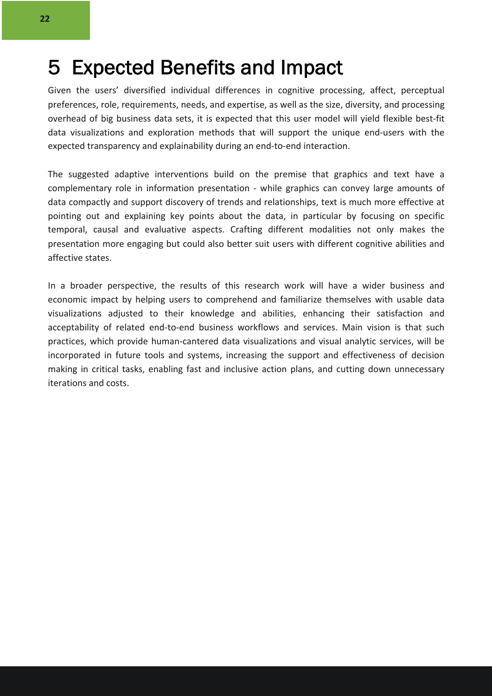### 5 Expected Benefits and Impact

Given the users' diversified individual differences in cognitive processing, affect, perceptual preferences, role, requirements, needs, and expertise, as well as the size, diversity, and processing overhead of big business data sets, it is expected that this user model will yield flexible best-fit data visualizations and exploration methods that will support the unique end-users with the expected transparency and explainability during an end-to-end interaction.

The suggested adaptive interventions build on the premise that graphics and text have a complementary role in information presentation - while graphics can convey large amounts of data compactly and support discovery of trends and relationships, text is much more effective at pointing out and explaining key points about the data, in particular by focusing on specific temporal, causal and evaluative aspects. Crafting different modalities not only makes the presentation more engaging but could also better suit users with different cognitive abilities and affective states.

In a broader perspective, the results of this research work will have a wider business and economic impact by helping users to comprehend and familiarize themselves with usable data visualizations adjusted to their knowledge and abilities, enhancing their satisfaction and acceptability of related end-to-end business workflows and services. Main vision is that such practices, which provide human-cantered data visualizations and visual analytic services, will be incorporated in future tools and systems, increasing the support and effectiveness of decision making in critical tasks, enabling fast and inclusive action plans, and cutting down unnecessary iterations and costs.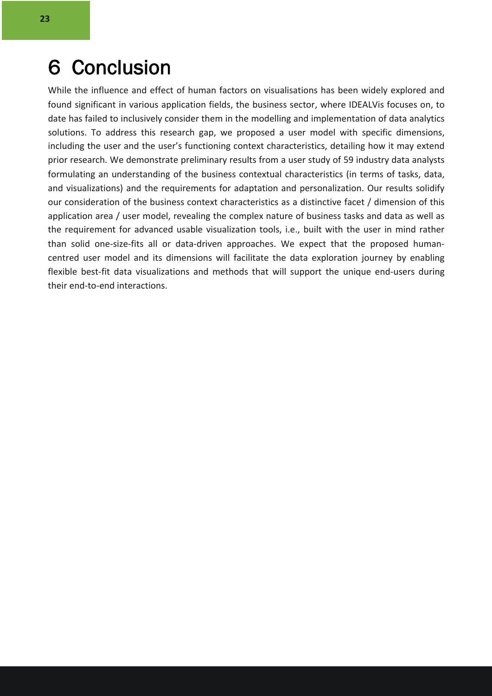### 6 Conclusion

While the influence and effect of human factors on visualisations has been widely explored and found significant in various application fields, the business sector, where IDEALVis focuses on, to date has failed to inclusively consider them in the modelling and implementation of data analytics solutions. To address this research gap, we proposed a user model with specific dimensions, including the user and the user's functioning context characteristics, detailing how it may extend prior research. We demonstrate preliminary results from a user study of 59 industry data analysts formulating an understanding of the business contextual characteristics (in terms of tasks, data, and visualizations) and the requirements for adaptation and personalization. Our results solidify our consideration of the business context characteristics as a distinctive facet / dimension of this application area / user model, revealing the complex nature of business tasks and data as well as the requirement for advanced usable visualization tools, i.e., built with the user in mind rather than solid one-size-fits all or data-driven approaches. We expect that the proposed humancentred user model and its dimensions will facilitate the data exploration journey by enabling flexible best-fit data visualizations and methods that will support the unique end-users during their end-to-end interactions.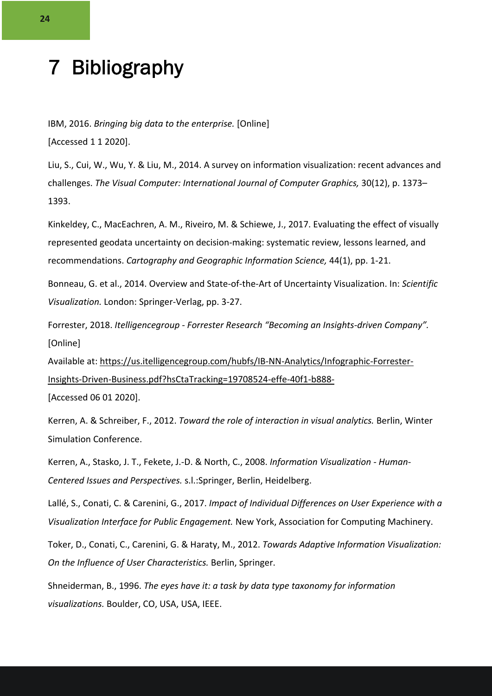## 7 Bibliography

IBM, 2016. *Bringing big data to the enterprise.* [Online] [Accessed 1 1 2020].

Liu, S., Cui, W., Wu, Y. & Liu, M., 2014. A survey on information visualization: recent advances and challenges. *The Visual Computer: International Journal of Computer Graphics,* 30(12), p. 1373– 1393.

Kinkeldey, C., MacEachren, A. M., Riveiro, M. & Schiewe, J., 2017. Evaluating the effect of visually represented geodata uncertainty on decision-making: systematic review, lessons learned, and recommendations. *Cartography and Geographic Information Science,* 44(1), pp. 1-21.

Bonneau, G. et al., 2014. Overview and State-of-the-Art of Uncertainty Visualization. In: *Scientific Visualization.* London: Springer-Verlag, pp. 3-27.

Forrester, 2018. *Itelligencegroup - Forrester Research "Becoming an Insights-driven Company".*  [Online]

Available at: https://us.itelligencegroup.com/hubfs/IB-NN-Analytics/Infographic-Forrester-Insights-Driven-Business.pdf?hsCtaTracking=19708524-effe-40f1-b888-

[Accessed 06 01 2020].

Kerren, A. & Schreiber, F., 2012. *Toward the role of interaction in visual analytics.* Berlin, Winter Simulation Conference.

Kerren, A., Stasko, J. T., Fekete, J.-D. & North, C., 2008. *Information Visualization - Human-Centered Issues and Perspectives.* s.l.:Springer, Berlin, Heidelberg.

Lallé, S., Conati, C. & Carenini, G., 2017. *Impact of Individual Differences on User Experience with a Visualization Interface for Public Engagement.* New York, Association for Computing Machinery.

Toker, D., Conati, C., Carenini, G. & Haraty, M., 2012. *Towards Adaptive Information Visualization: On the Influence of User Characteristics.* Berlin, Springer.

Shneiderman, B., 1996. *The eyes have it: a task by data type taxonomy for information visualizations.* Boulder, CO, USA, USA, IEEE.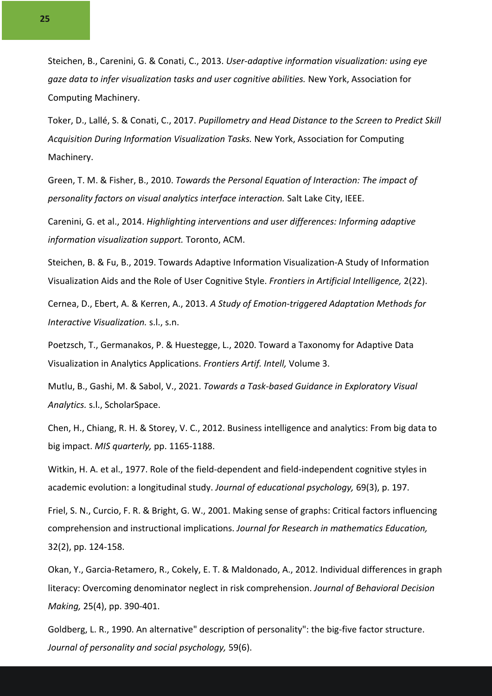Steichen, B., Carenini, G. & Conati, C., 2013. *User-adaptive information visualization: using eye gaze data to infer visualization tasks and user cognitive abilities.* New York, Association for Computing Machinery.

Toker, D., Lallé, S. & Conati, C., 2017. *Pupillometry and Head Distance to the Screen to Predict Skill Acquisition During Information Visualization Tasks.* New York, Association for Computing Machinery.

Green, T. M. & Fisher, B., 2010. *Towards the Personal Equation of Interaction: The impact of personality factors on visual analytics interface interaction.* Salt Lake City, IEEE.

Carenini, G. et al., 2014. *Highlighting interventions and user differences: Informing adaptive information visualization support.* Toronto, ACM.

Steichen, B. & Fu, B., 2019. Towards Adaptive Information Visualization-A Study of Information Visualization Aids and the Role of User Cognitive Style. *Frontiers in Artificial Intelligence,* 2(22).

Cernea, D., Ebert, A. & Kerren, A., 2013. *A Study of Emotion-triggered Adaptation Methods for Interactive Visualization.* s.l., s.n.

Poetzsch, T., Germanakos, P. & Huestegge, L., 2020. Toward a Taxonomy for Adaptive Data Visualization in Analytics Applications. *Frontiers Artif. Intell,* Volume 3.

Mutlu, B., Gashi, M. & Sabol, V., 2021. *Towards a Task-based Guidance in Exploratory Visual Analytics.* s.l., ScholarSpace.

Chen, H., Chiang, R. H. & Storey, V. C., 2012. Business intelligence and analytics: From big data to big impact. *MIS quarterly,* pp. 1165-1188.

Witkin, H. A. et al., 1977. Role of the field-dependent and field-independent cognitive styles in academic evolution: a longitudinal study. *Journal of educational psychology,* 69(3), p. 197.

Friel, S. N., Curcio, F. R. & Bright, G. W., 2001. Making sense of graphs: Critical factors influencing comprehension and instructional implications. *Journal for Research in mathematics Education,*  32(2), pp. 124-158.

Okan, Y., Garcia-Retamero, R., Cokely, E. T. & Maldonado, A., 2012. Individual differences in graph literacy: Overcoming denominator neglect in risk comprehension. *Journal of Behavioral Decision Making,* 25(4), pp. 390-401.

Goldberg, L. R., 1990. An alternative" description of personality": the big-five factor structure. *Journal of personality and social psychology,* 59(6).